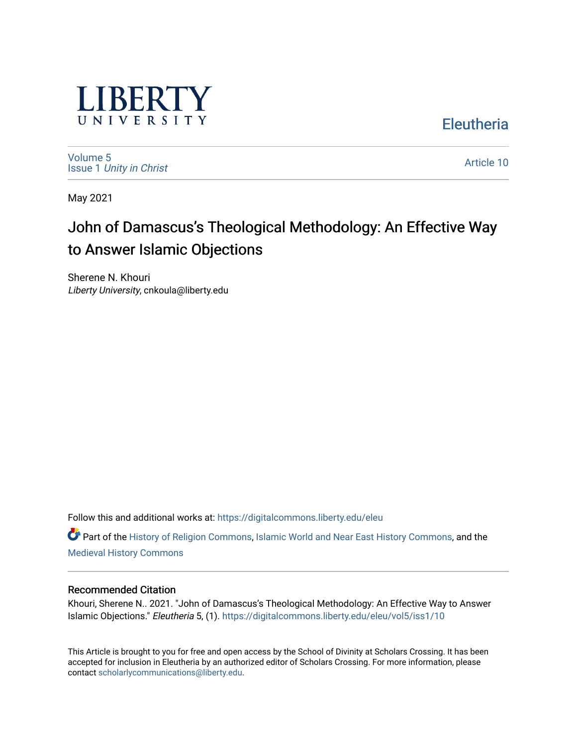

**Eleutheria** 

[Volume 5](https://digitalcommons.liberty.edu/eleu/vol5) Issue 1 [Unity in Christ](https://digitalcommons.liberty.edu/eleu/vol5/iss1) 

[Article 10](https://digitalcommons.liberty.edu/eleu/vol5/iss1/10) 

May 2021

# John of Damascus's Theological Methodology: An Effective Way to Answer Islamic Objections

Sherene N. Khouri Liberty University, cnkoula@liberty.edu

Follow this and additional works at: [https://digitalcommons.liberty.edu/eleu](https://digitalcommons.liberty.edu/eleu?utm_source=digitalcommons.liberty.edu%2Feleu%2Fvol5%2Fiss1%2F10&utm_medium=PDF&utm_campaign=PDFCoverPages) 

Part of the [History of Religion Commons](http://network.bepress.com/hgg/discipline/499?utm_source=digitalcommons.liberty.edu%2Feleu%2Fvol5%2Fiss1%2F10&utm_medium=PDF&utm_campaign=PDFCoverPages), [Islamic World and Near East History Commons,](http://network.bepress.com/hgg/discipline/493?utm_source=digitalcommons.liberty.edu%2Feleu%2Fvol5%2Fiss1%2F10&utm_medium=PDF&utm_campaign=PDFCoverPages) and the [Medieval History Commons](http://network.bepress.com/hgg/discipline/503?utm_source=digitalcommons.liberty.edu%2Feleu%2Fvol5%2Fiss1%2F10&utm_medium=PDF&utm_campaign=PDFCoverPages) 

# Recommended Citation

Khouri, Sherene N.. 2021. "John of Damascus's Theological Methodology: An Effective Way to Answer Islamic Objections." Eleutheria 5, (1). [https://digitalcommons.liberty.edu/eleu/vol5/iss1/10](https://digitalcommons.liberty.edu/eleu/vol5/iss1/10?utm_source=digitalcommons.liberty.edu%2Feleu%2Fvol5%2Fiss1%2F10&utm_medium=PDF&utm_campaign=PDFCoverPages)

This Article is brought to you for free and open access by the School of Divinity at Scholars Crossing. It has been accepted for inclusion in Eleutheria by an authorized editor of Scholars Crossing. For more information, please contact [scholarlycommunications@liberty.edu](mailto:scholarlycommunications@liberty.edu).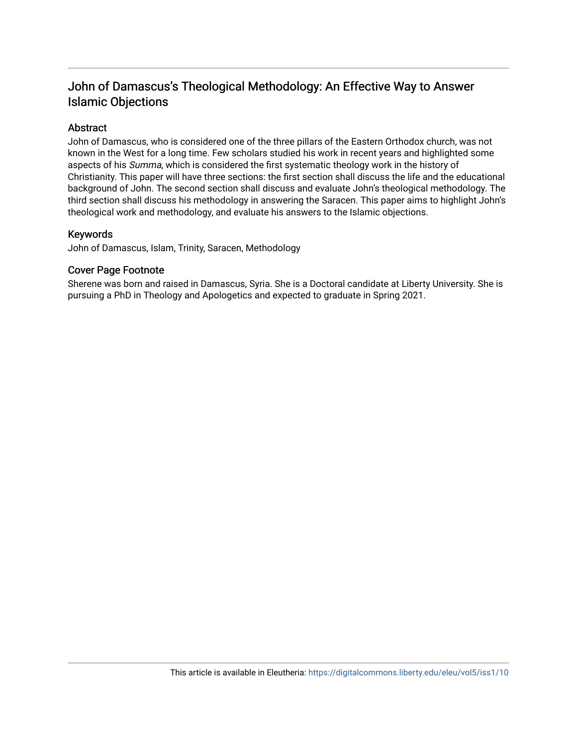# John of Damascus's Theological Methodology: An Effective Way to Answer Islamic Objections

# Abstract

John of Damascus, who is considered one of the three pillars of the Eastern Orthodox church, was not known in the West for a long time. Few scholars studied his work in recent years and highlighted some aspects of his Summa, which is considered the first systematic theology work in the history of Christianity. This paper will have three sections: the first section shall discuss the life and the educational background of John. The second section shall discuss and evaluate John's theological methodology. The third section shall discuss his methodology in answering the Saracen. This paper aims to highlight John's theological work and methodology, and evaluate his answers to the Islamic objections.

# Keywords

John of Damascus, Islam, Trinity, Saracen, Methodology

### Cover Page Footnote

Sherene was born and raised in Damascus, Syria. She is a Doctoral candidate at Liberty University. She is pursuing a PhD in Theology and Apologetics and expected to graduate in Spring 2021.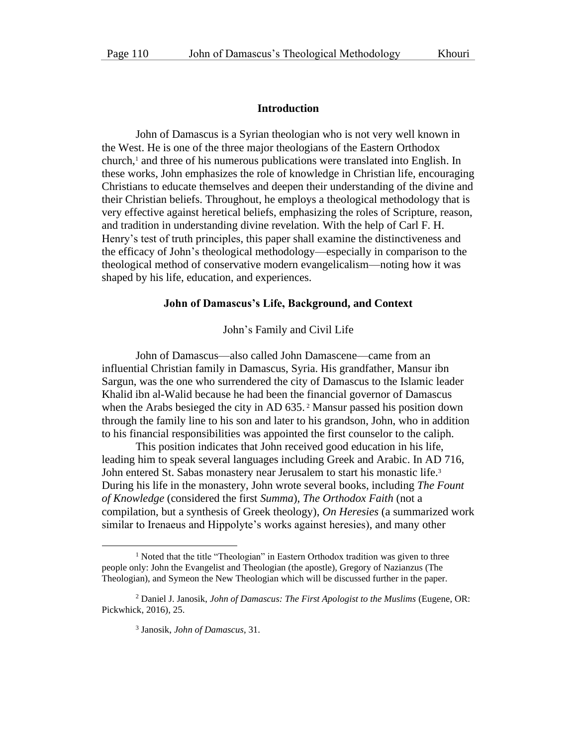#### **Introduction**

John of Damascus is a Syrian theologian who is not very well known in the West. He is one of the three major theologians of the Eastern Orthodox church, <sup>1</sup> and three of his numerous publications were translated into English. In these works, John emphasizes the role of knowledge in Christian life, encouraging Christians to educate themselves and deepen their understanding of the divine and their Christian beliefs. Throughout, he employs a theological methodology that is very effective against heretical beliefs, emphasizing the roles of Scripture, reason, and tradition in understanding divine revelation. With the help of Carl F. H. Henry's test of truth principles, this paper shall examine the distinctiveness and the efficacy of John's theological methodology—especially in comparison to the theological method of conservative modern evangelicalism—noting how it was shaped by his life, education, and experiences.

#### **John of Damascus's Life, Background, and Context**

John's Family and Civil Life

John of Damascus—also called John Damascene—came from an influential Christian family in Damascus, Syria. His grandfather, Mansur ibn Sargun, was the one who surrendered the city of Damascus to the Islamic leader Khalid ibn al-Walid because he had been the financial governor of Damascus when the Arabs besieged the city in AD 635.<sup>2</sup> Mansur passed his position down through the family line to his son and later to his grandson, John, who in addition to his financial responsibilities was appointed the first counselor to the caliph.

This position indicates that John received good education in his life, leading him to speak several languages including Greek and Arabic. In AD 716, John entered St. Sabas monastery near Jerusalem to start his monastic life.<sup>3</sup> During his life in the monastery, John wrote several books, including *The Fount of Knowledge* (considered the first *Summa*), *The Orthodox Faith* (not a compilation, but a synthesis of Greek theology), *On Heresies* (a summarized work similar to Irenaeus and Hippolyte's works against heresies), and many other

<sup>&</sup>lt;sup>1</sup> Noted that the title "Theologian" in Eastern Orthodox tradition was given to three people only: John the Evangelist and Theologian (the apostle), Gregory of Nazianzus (The Theologian), and Symeon the New Theologian which will be discussed further in the paper.

<sup>2</sup> Daniel J. Janosik, *John of Damascus: The First Apologist to the Muslims* (Eugene, OR: Pickwhick, 2016), 25.

<sup>3</sup> Janosik, *John of Damascus*, 31.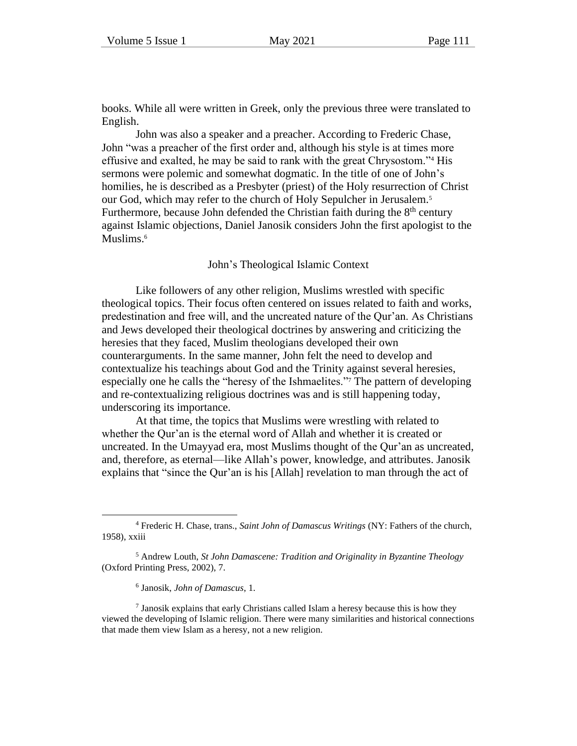books. While all were written in Greek, only the previous three were translated to English.

John was also a speaker and a preacher. According to Frederic Chase, John "was a preacher of the first order and, although his style is at times more effusive and exalted, he may be said to rank with the great Chrysostom."<sup>4</sup> His sermons were polemic and somewhat dogmatic. In the title of one of John's homilies, he is described as a Presbyter (priest) of the Holy resurrection of Christ our God, which may refer to the church of Holy Sepulcher in Jerusalem.<sup>5</sup> Furthermore, because John defended the Christian faith during the  $8<sup>th</sup>$  century against Islamic objections, Daniel Janosik considers John the first apologist to the Muslims. 6

#### John's Theological Islamic Context

Like followers of any other religion, Muslims wrestled with specific theological topics. Their focus often centered on issues related to faith and works, predestination and free will, and the uncreated nature of the Qur'an. As Christians and Jews developed their theological doctrines by answering and criticizing the heresies that they faced, Muslim theologians developed their own counterarguments. In the same manner, John felt the need to develop and contextualize his teachings about God and the Trinity against several heresies, especially one he calls the "heresy of the Ishmaelites."<sup>7</sup> The pattern of developing and re-contextualizing religious doctrines was and is still happening today, underscoring its importance.

At that time, the topics that Muslims were wrestling with related to whether the Qur'an is the eternal word of Allah and whether it is created or uncreated. In the Umayyad era, most Muslims thought of the Qur'an as uncreated, and, therefore, as eternal—like Allah's power, knowledge, and attributes. Janosik explains that "since the Qur'an is his [Allah] revelation to man through the act of

<sup>4</sup> Frederic H. Chase, trans., *Saint John of Damascus Writings* (NY: Fathers of the church, 1958), xxiii

<sup>5</sup> Andrew Louth, *St John Damascene: Tradition and Originality in Byzantine Theology* (Oxford Printing Press, 2002), 7.

<sup>6</sup> Janosik, *John of Damascus*, 1.

 $<sup>7</sup>$  Janosik explains that early Christians called Islam a heresy because this is how they</sup> viewed the developing of Islamic religion. There were many similarities and historical connections that made them view Islam as a heresy, not a new religion.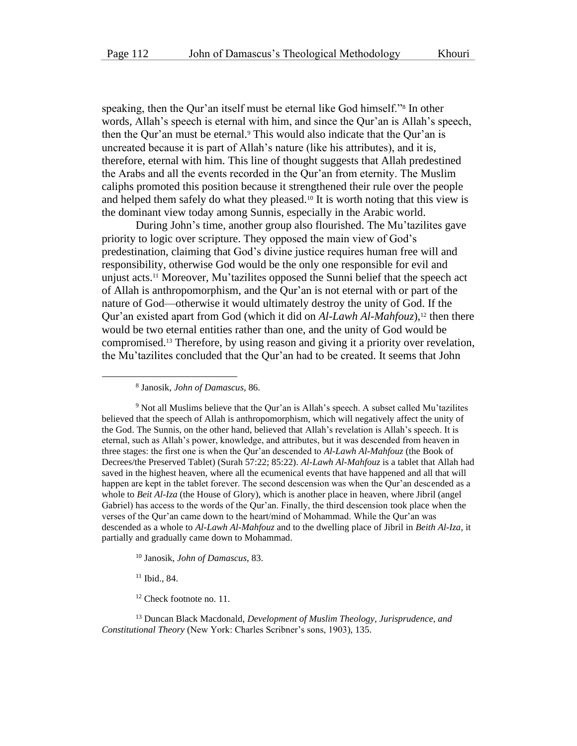speaking, then the Qur'an itself must be eternal like God himself."<sup>8</sup> In other words, Allah's speech is eternal with him, and since the Qur'an is Allah's speech, then the Qur'an must be eternal.<sup>9</sup> This would also indicate that the Qur'an is uncreated because it is part of Allah's nature (like his attributes), and it is, therefore, eternal with him. This line of thought suggests that Allah predestined the Arabs and all the events recorded in the Qur'an from eternity. The Muslim caliphs promoted this position because it strengthened their rule over the people and helped them safely do what they pleased.<sup>10</sup> It is worth noting that this view is the dominant view today among Sunnis, especially in the Arabic world.

During John's time, another group also flourished. The Mu'tazilites gave priority to logic over scripture. They opposed the main view of God's predestination, claiming that God's divine justice requires human free will and responsibility, otherwise God would be the only one responsible for evil and unjust acts.<sup>11</sup> Moreover, Mu'tazilites opposed the Sunni belief that the speech act of Allah is anthropomorphism, and the Qur'an is not eternal with or part of the nature of God—otherwise it would ultimately destroy the unity of God. If the Qur'an existed apart from God (which it did on *Al-Lawh Al-Mahfouz*), <sup>12</sup> then there would be two eternal entities rather than one, and the unity of God would be compromised.<sup>13</sup> Therefore, by using reason and giving it a priority over revelation, the Mu'tazilites concluded that the Qur'an had to be created. It seems that John

<sup>9</sup> Not all Muslims believe that the Qur'an is Allah's speech. A subset called Mu'tazilites believed that the speech of Allah is anthropomorphism, which will negatively affect the unity of the God. The Sunnis, on the other hand, believed that Allah's revelation is Allah's speech. It is eternal, such as Allah's power, knowledge, and attributes, but it was descended from heaven in three stages: the first one is when the Qur'an descended to *Al-Lawh Al-Mahfouz* (the Book of Decrees/the Preserved Tablet) (Surah 57:22; 85:22). *Al-Lawh Al-Mahfouz* is a tablet that Allah had saved in the highest heaven, where all the ecumenical events that have happened and all that will happen are kept in the tablet forever. The second descension was when the Qur'an descended as a whole to *Beit Al-Iza* (the House of Glory), which is another place in heaven, where Jibril (angel Gabriel) has access to the words of the Qur'an. Finally, the third descension took place when the verses of the Qur'an came down to the heart/mind of Mohammad. While the Qur'an was descended as a whole to *Al-Lawh Al-Mahfouz* and to the dwelling place of Jibril in *Beith Al-Iza*, it partially and gradually came down to Mohammad.

<sup>10</sup> Janosik, *John of Damascus*, 83.

<sup>11</sup> Ibid., 84.

<sup>12</sup> Check footnote no. 11.

<sup>13</sup> Duncan Black Macdonald, *Development of Muslim Theology, Jurisprudence, and Constitutional Theory* (New York: Charles Scribner's sons, 1903), 135.

<sup>8</sup> Janosik, *John of Damascus*, 86.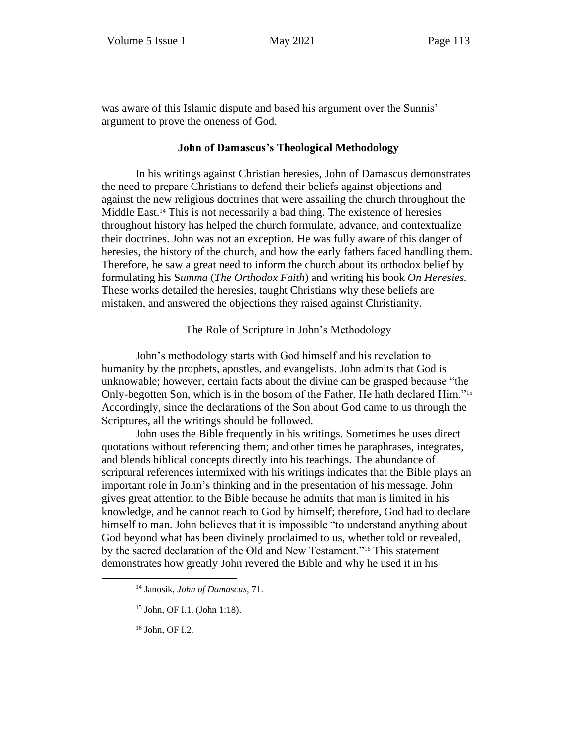was aware of this Islamic dispute and based his argument over the Sunnis' argument to prove the oneness of God.

#### **John of Damascus's Theological Methodology**

In his writings against Christian heresies, John of Damascus demonstrates the need to prepare Christians to defend their beliefs against objections and against the new religious doctrines that were assailing the church throughout the Middle East.<sup>14</sup> This is not necessarily a bad thing. The existence of heresies throughout history has helped the church formulate, advance, and contextualize their doctrines. John was not an exception. He was fully aware of this danger of heresies, the history of the church, and how the early fathers faced handling them. Therefore, he saw a great need to inform the church about its orthodox belief by formulating his S*umma* (*The Orthodox Faith*) and writing his book *On Heresies.* These works detailed the heresies, taught Christians why these beliefs are mistaken, and answered the objections they raised against Christianity.

The Role of Scripture in John's Methodology

John's methodology starts with God himself and his revelation to humanity by the prophets, apostles, and evangelists. John admits that God is unknowable; however, certain facts about the divine can be grasped because "the Only-begotten Son, which is in the bosom of the Father, He hath declared Him."<sup>15</sup> Accordingly, since the declarations of the Son about God came to us through the Scriptures, all the writings should be followed.

John uses the Bible frequently in his writings. Sometimes he uses direct quotations without referencing them; and other times he paraphrases, integrates, and blends biblical concepts directly into his teachings. The abundance of scriptural references intermixed with his writings indicates that the Bible plays an important role in John's thinking and in the presentation of his message. John gives great attention to the Bible because he admits that man is limited in his knowledge, and he cannot reach to God by himself; therefore, God had to declare himself to man. John believes that it is impossible "to understand anything about God beyond what has been divinely proclaimed to us, whether told or revealed, by the sacred declaration of the Old and New Testament."<sup>16</sup> This statement demonstrates how greatly John revered the Bible and why he used it in his

<sup>14</sup> Janosik, *John of Damascus*, 71.

<sup>15</sup> John, OF I.1. (John 1:18).

<sup>16</sup> John, OF I.2.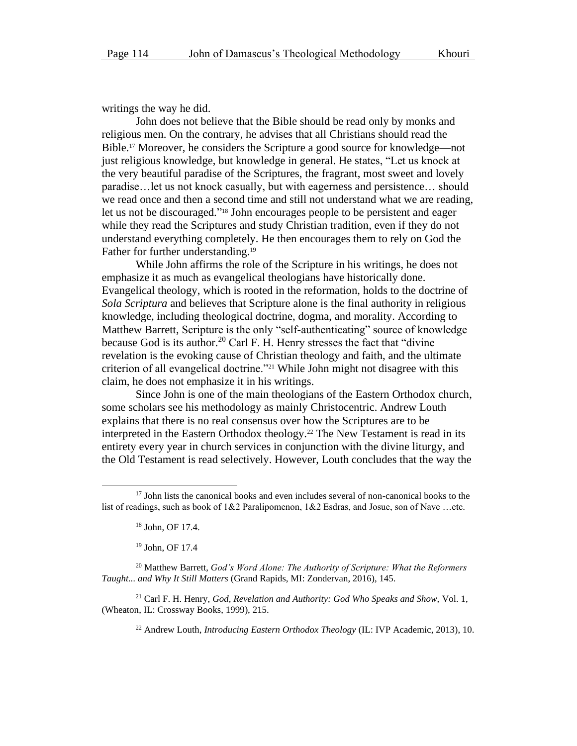writings the way he did.

John does not believe that the Bible should be read only by monks and religious men. On the contrary, he advises that all Christians should read the Bible.<sup>17</sup> Moreover, he considers the Scripture a good source for knowledge—not just religious knowledge, but knowledge in general. He states, "Let us knock at the very beautiful paradise of the Scriptures, the fragrant, most sweet and lovely paradise…let us not knock casually, but with eagerness and persistence… should we read once and then a second time and still not understand what we are reading, let us not be discouraged." <sup>18</sup> John encourages people to be persistent and eager while they read the Scriptures and study Christian tradition, even if they do not understand everything completely. He then encourages them to rely on God the Father for further understanding.<sup>19</sup>

While John affirms the role of the Scripture in his writings, he does not emphasize it as much as evangelical theologians have historically done. Evangelical theology, which is rooted in the reformation, holds to the doctrine of *Sola Scriptura* and believes that Scripture alone is the final authority in religious knowledge, including theological doctrine, dogma, and morality. According to Matthew Barrett, Scripture is the only "self-authenticating" source of knowledge because God is its author.<sup>20</sup> Carl F. H. Henry stresses the fact that "divine" revelation is the evoking cause of Christian theology and faith, and the ultimate criterion of all evangelical doctrine."<sup>21</sup> While John might not disagree with this claim, he does not emphasize it in his writings.

Since John is one of the main theologians of the Eastern Orthodox church, some scholars see his methodology as mainly Christocentric. Andrew Louth explains that there is no real consensus over how the Scriptures are to be interpreted in the Eastern Orthodox theology.<sup>22</sup> The New Testament is read in its entirety every year in church services in conjunction with the divine liturgy, and the Old Testament is read selectively. However, Louth concludes that the way the

<sup>20</sup> Matthew Barrett, *God's Word Alone: The Authority of Scripture: What the Reformers Taught... and Why It Still Matters* (Grand Rapids, MI: Zondervan, 2016), 145.

<sup>21</sup> Carl F. H. Henry, *God, Revelation and Authority: God Who Speaks and Show,* Vol. 1, (Wheaton, IL: Crossway Books, 1999), 215.

<sup>22</sup> Andrew Louth, *Introducing Eastern Orthodox Theology* (IL: IVP Academic, 2013), 10.

<sup>&</sup>lt;sup>17</sup> John lists the canonical books and even includes several of non-canonical books to the list of readings, such as book of 1&2 Paralipomenon, 1&2 Esdras, and Josue, son of Nave …etc.

<sup>18</sup> John, OF 17.4.

<sup>19</sup> John, OF 17.4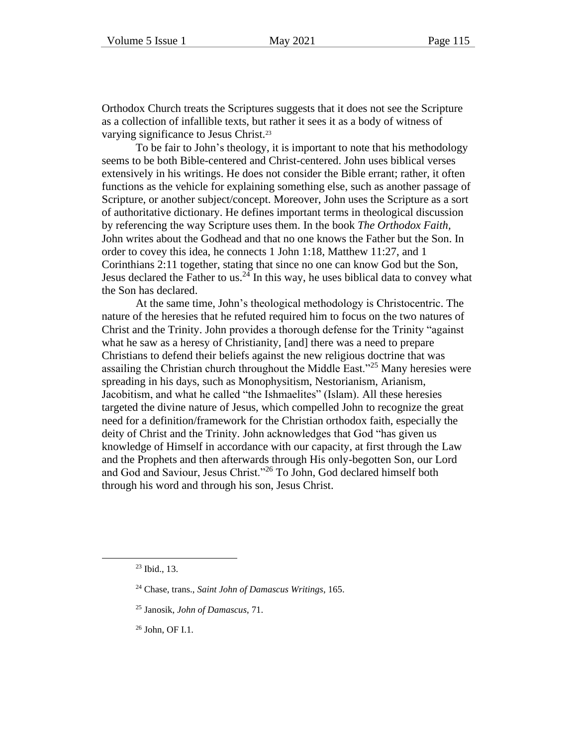Orthodox Church treats the Scriptures suggests that it does not see the Scripture as a collection of infallible texts, but rather it sees it as a body of witness of varying significance to Jesus Christ.<sup>23</sup>

To be fair to John's theology, it is important to note that his methodology seems to be both Bible-centered and Christ-centered. John uses biblical verses extensively in his writings. He does not consider the Bible errant; rather, it often functions as the vehicle for explaining something else, such as another passage of Scripture, or another subject/concept. Moreover, John uses the Scripture as a sort of authoritative dictionary. He defines important terms in theological discussion by referencing the way Scripture uses them. In the book *The Orthodox Faith,* John writes about the Godhead and that no one knows the Father but the Son. In order to covey this idea, he connects 1 John 1:18, Matthew 11:27, and 1 Corinthians 2:11 together, stating that since no one can know God but the Son, Jesus declared the Father to us.<sup>24</sup> In this way, he uses biblical data to convey what the Son has declared.

At the same time, John's theological methodology is Christocentric. The nature of the heresies that he refuted required him to focus on the two natures of Christ and the Trinity. John provides a thorough defense for the Trinity "against what he saw as a heresy of Christianity, [and] there was a need to prepare Christians to defend their beliefs against the new religious doctrine that was assailing the Christian church throughout the Middle East."<sup>25</sup> Many heresies were spreading in his days, such as Monophysitism, Nestorianism, Arianism, Jacobitism, and what he called "the Ishmaelites" (Islam). All these heresies targeted the divine nature of Jesus, which compelled John to recognize the great need for a definition/framework for the Christian orthodox faith, especially the deity of Christ and the Trinity. John acknowledges that God "has given us knowledge of Himself in accordance with our capacity, at first through the Law and the Prophets and then afterwards through His only-begotten Son, our Lord and God and Saviour, Jesus Christ."<sup>26</sup> To John, God declared himself both through his word and through his son, Jesus Christ.

<sup>26</sup> John, OF I.1.

<sup>23</sup> Ibid., 13.

<sup>24</sup> Chase, trans., *Saint John of Damascus Writings*, 165.

<sup>25</sup> Janosik, *John of Damascus*, 71.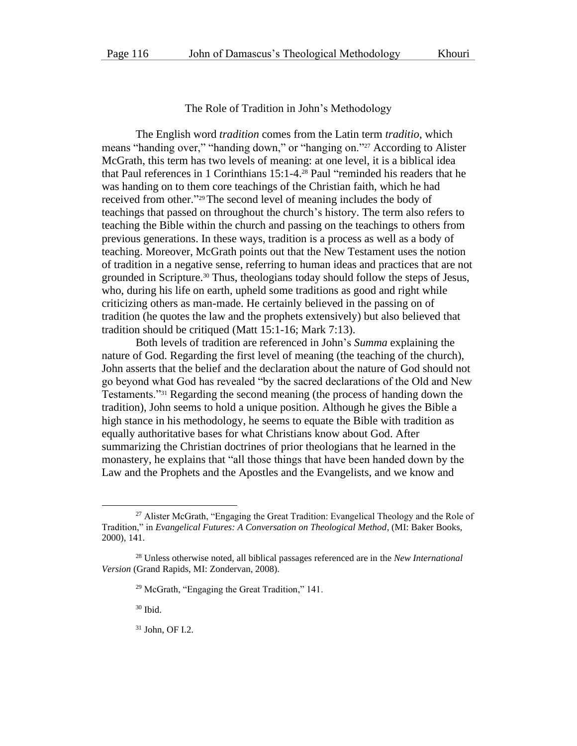The Role of Tradition in John's Methodology

The English word *tradition* comes from the Latin term *traditio*, which means "handing over," "handing down," or "hanging on."<sup>27</sup> According to Alister McGrath, this term has two levels of meaning: at one level, it is a biblical idea that Paul references in 1 Corinthians 15:1-4.<sup>28</sup> Paul "reminded his readers that he was handing on to them core teachings of the Christian faith, which he had received from other." <sup>29</sup>The second level of meaning includes the body of teachings that passed on throughout the church's history. The term also refers to teaching the Bible within the church and passing on the teachings to others from previous generations. In these ways, tradition is a process as well as a body of teaching. Moreover, McGrath points out that the New Testament uses the notion of tradition in a negative sense, referring to human ideas and practices that are not grounded in Scripture.<sup>30</sup> Thus, theologians today should follow the steps of Jesus, who, during his life on earth, upheld some traditions as good and right while criticizing others as man-made. He certainly believed in the passing on of tradition (he quotes the law and the prophets extensively) but also believed that tradition should be critiqued (Matt 15:1-16; Mark 7:13).

Both levels of tradition are referenced in John's *Summa* explaining the nature of God. Regarding the first level of meaning (the teaching of the church), John asserts that the belief and the declaration about the nature of God should not go beyond what God has revealed "by the sacred declarations of the Old and New Testaments."<sup>31</sup> Regarding the second meaning (the process of handing down the tradition), John seems to hold a unique position. Although he gives the Bible a high stance in his methodology, he seems to equate the Bible with tradition as equally authoritative bases for what Christians know about God. After summarizing the Christian doctrines of prior theologians that he learned in the monastery, he explains that "all those things that have been handed down by the Law and the Prophets and the Apostles and the Evangelists, and we know and

<sup>30</sup> Ibid.

<sup>31</sup> John, OF I.2.

<sup>&</sup>lt;sup>27</sup> Alister McGrath, "Engaging the Great Tradition: Evangelical Theology and the Role of Tradition," in *Evangelical Futures: A Conversation on Theological Method*, (MI: Baker Books, 2000), 141.

<sup>28</sup> Unless otherwise noted, all biblical passages referenced are in the *New International Version* (Grand Rapids, MI: Zondervan, 2008).

<sup>29</sup> McGrath, "Engaging the Great Tradition," 141.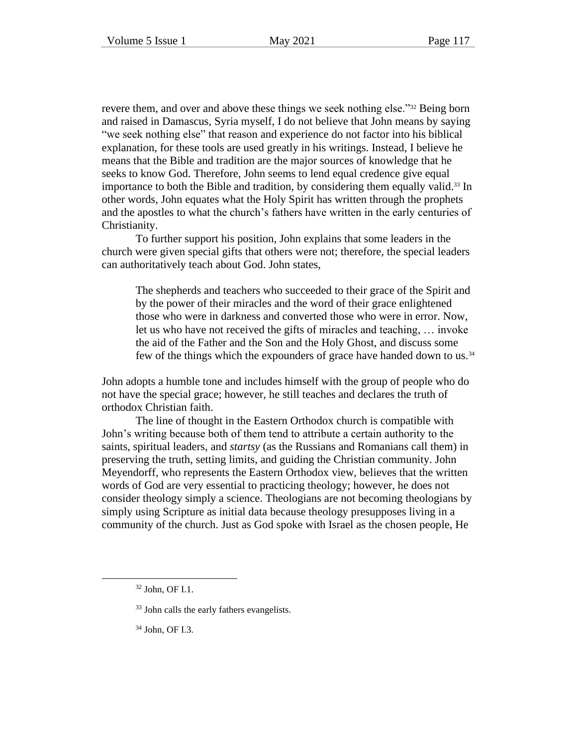revere them, and over and above these things we seek nothing else."<sup>32</sup> Being born and raised in Damascus, Syria myself, I do not believe that John means by saying "we seek nothing else" that reason and experience do not factor into his biblical explanation, for these tools are used greatly in his writings. Instead, I believe he means that the Bible and tradition are the major sources of knowledge that he seeks to know God. Therefore, John seems to lend equal credence give equal importance to both the Bible and tradition, by considering them equally valid. <sup>33</sup> In other words, John equates what the Holy Spirit has written through the prophets and the apostles to what the church's fathers have written in the early centuries of Christianity.

To further support his position, John explains that some leaders in the church were given special gifts that others were not; therefore, the special leaders can authoritatively teach about God. John states,

The shepherds and teachers who succeeded to their grace of the Spirit and by the power of their miracles and the word of their grace enlightened those who were in darkness and converted those who were in error. Now, let us who have not received the gifts of miracles and teaching, … invoke the aid of the Father and the Son and the Holy Ghost, and discuss some few of the things which the expounders of grace have handed down to us.<sup>34</sup>

John adopts a humble tone and includes himself with the group of people who do not have the special grace; however, he still teaches and declares the truth of orthodox Christian faith.

The line of thought in the Eastern Orthodox church is compatible with John's writing because both of them tend to attribute a certain authority to the saints, spiritual leaders, and *startsy* (as the Russians and Romanians call them) in preserving the truth, setting limits, and guiding the Christian community. John Meyendorff, who represents the Eastern Orthodox view, believes that the written words of God are very essential to practicing theology; however, he does not consider theology simply a science. Theologians are not becoming theologians by simply using Scripture as initial data because theology presupposes living in a community of the church. Just as God spoke with Israel as the chosen people, He

<sup>34</sup> John, OF I.3.

<sup>32</sup> John, OF I.1.

<sup>&</sup>lt;sup>33</sup> John calls the early fathers evangelists.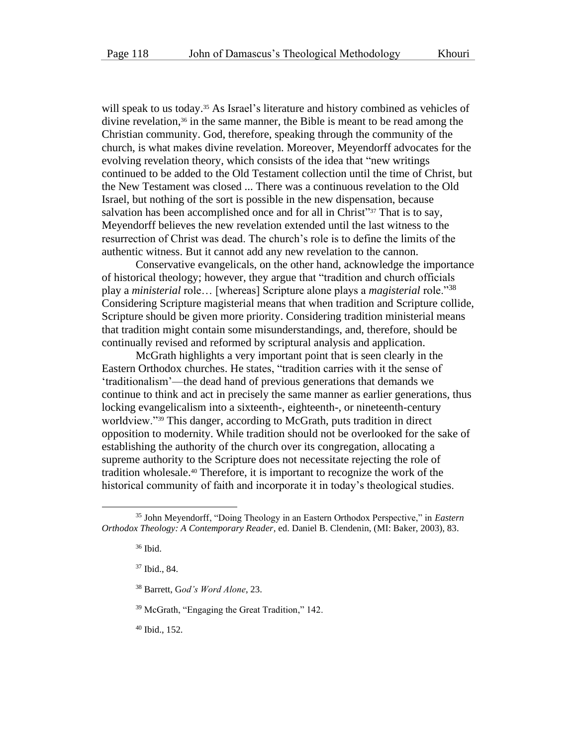will speak to us today.<sup>35</sup> As Israel's literature and history combined as vehicles of divine revelation, <sup>36</sup> in the same manner, the Bible is meant to be read among the Christian community. God, therefore, speaking through the community of the church, is what makes divine revelation. Moreover, Meyendorff advocates for the evolving revelation theory, which consists of the idea that "new writings continued to be added to the Old Testament collection until the time of Christ, but the New Testament was closed ... There was a continuous revelation to the Old Israel, but nothing of the sort is possible in the new dispensation, because salvation has been accomplished once and for all in Christ"<sup>37</sup> That is to say, Meyendorff believes the new revelation extended until the last witness to the resurrection of Christ was dead. The church's role is to define the limits of the authentic witness. But it cannot add any new revelation to the cannon.

Conservative evangelicals, on the other hand, acknowledge the importance of historical theology; however, they argue that "tradition and church officials play a *ministerial* role… [whereas] Scripture alone plays a *magisterial* role."<sup>38</sup> Considering Scripture magisterial means that when tradition and Scripture collide, Scripture should be given more priority. Considering tradition ministerial means that tradition might contain some misunderstandings, and, therefore, should be continually revised and reformed by scriptural analysis and application.

McGrath highlights a very important point that is seen clearly in the Eastern Orthodox churches. He states, "tradition carries with it the sense of 'traditionalism'—the dead hand of previous generations that demands we continue to think and act in precisely the same manner as earlier generations, thus locking evangelicalism into a sixteenth-, eighteenth-, or nineteenth-century worldview."<sup>39</sup> This danger, according to McGrath, puts tradition in direct opposition to modernity. While tradition should not be overlooked for the sake of establishing the authority of the church over its congregation, allocating a supreme authority to the Scripture does not necessitate rejecting the role of tradition wholesale. <sup>40</sup> Therefore, it is important to recognize the work of the historical community of faith and incorporate it in today's theological studies.

<sup>40</sup> Ibid., 152.

<sup>35</sup> John Meyendorff, "Doing Theology in an Eastern Orthodox Perspective," in *Eastern Orthodox Theology: A Contemporary Reader,* ed. Daniel B. Clendenin, (MI: Baker, 2003), 83.

<sup>36</sup> Ibid.

<sup>37</sup> Ibid., 84.

<sup>38</sup> Barrett, G*od's Word Alone*, 23.

<sup>39</sup> McGrath, "Engaging the Great Tradition," 142.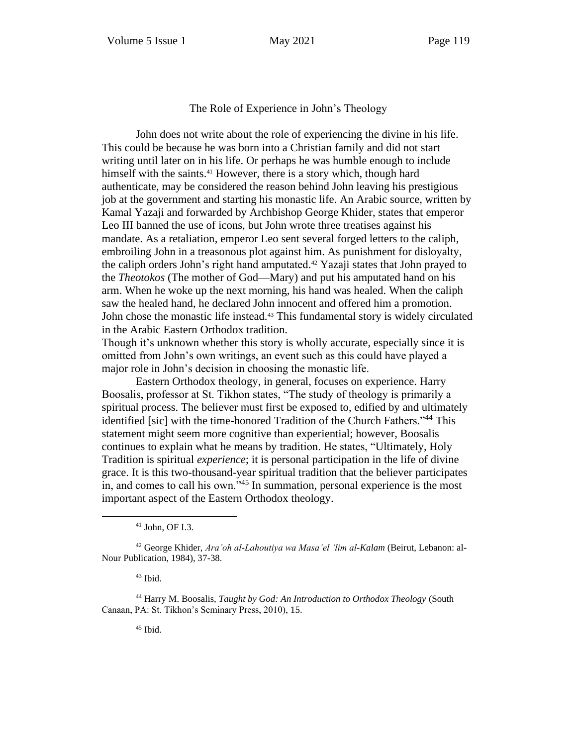The Role of Experience in John's Theology

John does not write about the role of experiencing the divine in his life. This could be because he was born into a Christian family and did not start writing until later on in his life. Or perhaps he was humble enough to include himself with the saints. <sup>41</sup> However, there is a story which, though hard authenticate, may be considered the reason behind John leaving his prestigious job at the government and starting his monastic life. An Arabic source, written by Kamal Yazaji and forwarded by Archbishop George Khider, states that emperor Leo III banned the use of icons, but John wrote three treatises against his mandate. As a retaliation, emperor Leo sent several forged letters to the caliph, embroiling John in a treasonous plot against him. As punishment for disloyalty, the caliph orders John's right hand amputated. <sup>42</sup> Yazaji states that John prayed to the *Theotokos* (The mother of God—Mary) and put his amputated hand on his arm. When he woke up the next morning, his hand was healed. When the caliph saw the healed hand, he declared John innocent and offered him a promotion. John chose the monastic life instead.<sup>43</sup> This fundamental story is widely circulated in the Arabic Eastern Orthodox tradition.

Though it's unknown whether this story is wholly accurate, especially since it is omitted from John's own writings, an event such as this could have played a major role in John's decision in choosing the monastic life.

Eastern Orthodox theology, in general, focuses on experience. Harry Boosalis, professor at St. Tikhon states, "The study of theology is primarily a spiritual process. The believer must first be exposed to, edified by and ultimately identified [sic] with the time-honored Tradition of the Church Fathers."<sup>44</sup> This statement might seem more cognitive than experiential; however, Boosalis continues to explain what he means by tradition. He states, "Ultimately, Holy Tradition is spiritual *experience*; it is personal participation in the life of divine grace. It is this two-thousand-year spiritual tradition that the believer participates in, and comes to call his own."<sup>45</sup> In summation, personal experience is the most important aspect of the Eastern Orthodox theology.

<sup>41</sup> John, OF I.3.

<sup>42</sup> George Khider, *Ara'oh al-Lahoutiya wa Masa'el 'lim al-Kalam* (Beirut, Lebanon: al-Nour Publication, 1984), 37-38.

 $43$  Ibid.

<sup>44</sup> Harry M. Boosalis, *Taught by God: An Introduction to Orthodox Theology* (South Canaan, PA: St. Tikhon's Seminary Press, 2010), 15.

 $45$  Ibid.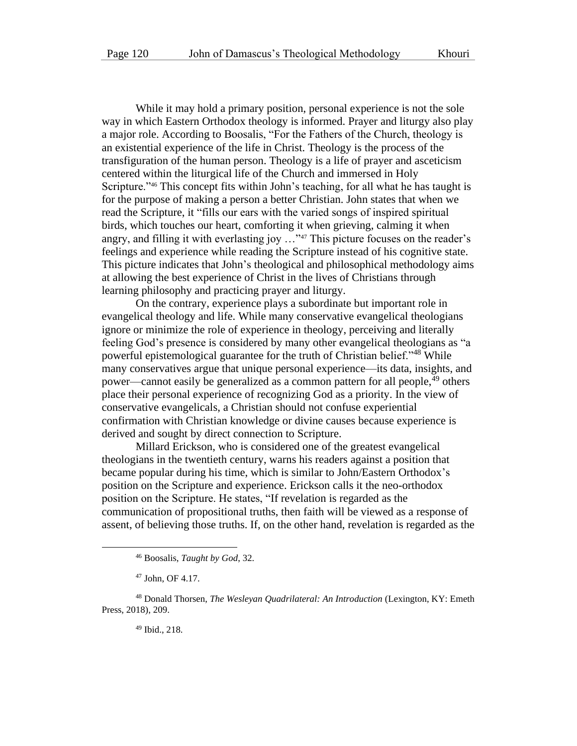While it may hold a primary position, personal experience is not the sole way in which Eastern Orthodox theology is informed. Prayer and liturgy also play a major role. According to Boosalis, "For the Fathers of the Church, theology is an existential experience of the life in Christ. Theology is the process of the transfiguration of the human person. Theology is a life of prayer and asceticism centered within the liturgical life of the Church and immersed in Holy Scripture."<sup>46</sup> This concept fits within John's teaching, for all what he has taught is for the purpose of making a person a better Christian. John states that when we read the Scripture, it "fills our ears with the varied songs of inspired spiritual birds, which touches our heart, comforting it when grieving, calming it when angry, and filling it with everlasting joy …"<sup>47</sup> This picture focuses on the reader's feelings and experience while reading the Scripture instead of his cognitive state. This picture indicates that John's theological and philosophical methodology aims at allowing the best experience of Christ in the lives of Christians through learning philosophy and practicing prayer and liturgy.

On the contrary, experience plays a subordinate but important role in evangelical theology and life. While many conservative evangelical theologians ignore or minimize the role of experience in theology, perceiving and literally feeling God's presence is considered by many other evangelical theologians as "a powerful epistemological guarantee for the truth of Christian belief."<sup>48</sup> While many conservatives argue that unique personal experience—its data, insights, and power—cannot easily be generalized as a common pattern for all people,<sup>49</sup> others place their personal experience of recognizing God as a priority. In the view of conservative evangelicals, a Christian should not confuse experiential confirmation with Christian knowledge or divine causes because experience is derived and sought by direct connection to Scripture.

Millard Erickson, who is considered one of the greatest evangelical theologians in the twentieth century, warns his readers against a position that became popular during his time, which is similar to John/Eastern Orthodox's position on the Scripture and experience. Erickson calls it the neo-orthodox position on the Scripture. He states, "If revelation is regarded as the communication of propositional truths, then faith will be viewed as a response of assent, of believing those truths. If, on the other hand, revelation is regarded as the

<sup>49</sup> Ibid., 218.

<sup>46</sup> Boosalis, *Taught by God*, 32.

<sup>47</sup> John, OF 4.17.

<sup>48</sup> Donald Thorsen, *The Wesleyan Quadrilateral: An Introduction* (Lexington, KY: Emeth Press, 2018), 209.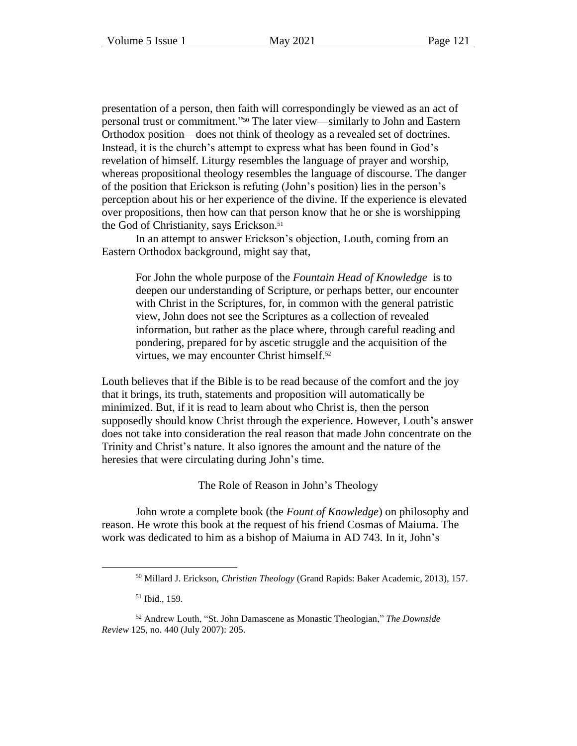presentation of a person, then faith will correspondingly be viewed as an act of personal trust or commitment." <sup>50</sup> The later view—similarly to John and Eastern Orthodox position—does not think of theology as a revealed set of doctrines. Instead, it is the church's attempt to express what has been found in God's revelation of himself. Liturgy resembles the language of prayer and worship, whereas propositional theology resembles the language of discourse. The danger of the position that Erickson is refuting (John's position) lies in the person's perception about his or her experience of the divine. If the experience is elevated over propositions, then how can that person know that he or she is worshipping the God of Christianity, says Erickson. 51

In an attempt to answer Erickson's objection, Louth, coming from an Eastern Orthodox background, might say that,

For John the whole purpose of the *Fountain Head of Knowledge* is to deepen our understanding of Scripture, or perhaps better, our encounter with Christ in the Scriptures, for, in common with the general patristic view, John does not see the Scriptures as a collection of revealed information, but rather as the place where, through careful reading and pondering, prepared for by ascetic struggle and the acquisition of the virtues, we may encounter Christ himself.<sup>52</sup>

Louth believes that if the Bible is to be read because of the comfort and the joy that it brings, its truth, statements and proposition will automatically be minimized. But, if it is read to learn about who Christ is, then the person supposedly should know Christ through the experience. However, Louth's answer does not take into consideration the real reason that made John concentrate on the Trinity and Christ's nature. It also ignores the amount and the nature of the heresies that were circulating during John's time.

The Role of Reason in John's Theology

John wrote a complete book (the *Fount of Knowledge*) on philosophy and reason. He wrote this book at the request of his friend Cosmas of Maiuma. The work was dedicated to him as a bishop of Maiuma in AD 743. In it, John's

<sup>51</sup> Ibid., 159.

<sup>50</sup> Millard J. Erickson, *Christian Theology* (Grand Rapids: Baker Academic, 2013), 157.

<sup>52</sup> Andrew Louth, "St. John Damascene as Monastic Theologian," *The Downside Review* 125, no. 440 (July 2007): 205.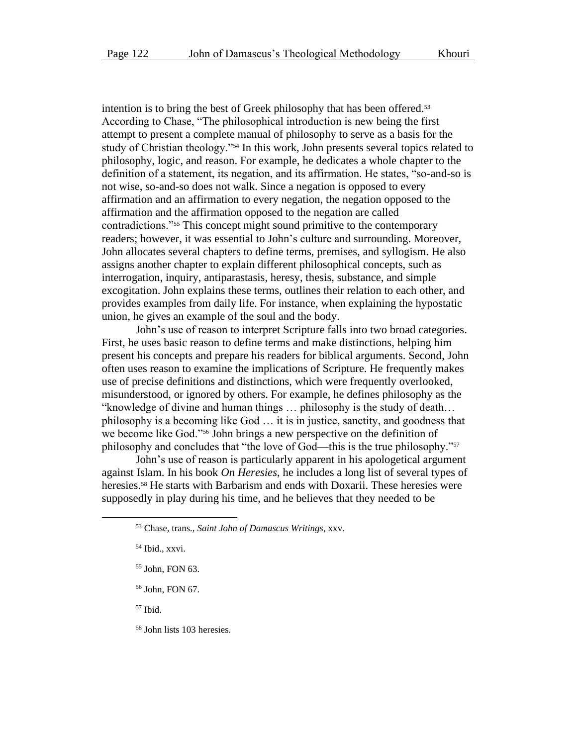intention is to bring the best of Greek philosophy that has been offered.<sup>53</sup> According to Chase, "The philosophical introduction is new being the first attempt to present a complete manual of philosophy to serve as a basis for the study of Christian theology."<sup>54</sup> In this work, John presents several topics related to philosophy, logic, and reason. For example, he dedicates a whole chapter to the definition of a statement, its negation, and its affirmation. He states, "so-and-so is not wise, so-and-so does not walk. Since a negation is opposed to every affirmation and an affirmation to every negation, the negation opposed to the affirmation and the affirmation opposed to the negation are called contradictions."<sup>55</sup> This concept might sound primitive to the contemporary readers; however, it was essential to John's culture and surrounding. Moreover, John allocates several chapters to define terms, premises, and syllogism. He also assigns another chapter to explain different philosophical concepts, such as interrogation, inquiry, antiparastasis, heresy, thesis, substance, and simple excogitation. John explains these terms, outlines their relation to each other, and provides examples from daily life. For instance, when explaining the hypostatic union, he gives an example of the soul and the body.

John's use of reason to interpret Scripture falls into two broad categories. First, he uses basic reason to define terms and make distinctions, helping him present his concepts and prepare his readers for biblical arguments. Second, John often uses reason to examine the implications of Scripture. He frequently makes use of precise definitions and distinctions, which were frequently overlooked, misunderstood, or ignored by others. For example, he defines philosophy as the "knowledge of divine and human things … philosophy is the study of death… philosophy is a becoming like God … it is in justice, sanctity, and goodness that we become like God."<sup>56</sup> John brings a new perspective on the definition of philosophy and concludes that "the love of God—this is the true philosophy."<sup>57</sup>

John's use of reason is particularly apparent in his apologetical argument against Islam. In his book *On Heresies*, he includes a long list of several types of heresies.<sup>58</sup> He starts with Barbarism and ends with Doxarii. These heresies were supposedly in play during his time, and he believes that they needed to be

<sup>56</sup> John, FON 67.

 $57$  Ibid.

<sup>58</sup> John lists 103 heresies.

<sup>53</sup> Chase, trans., *Saint John of Damascus Writings*, xxv.

<sup>54</sup> Ibid., xxvi.

<sup>55</sup> John, FON 63.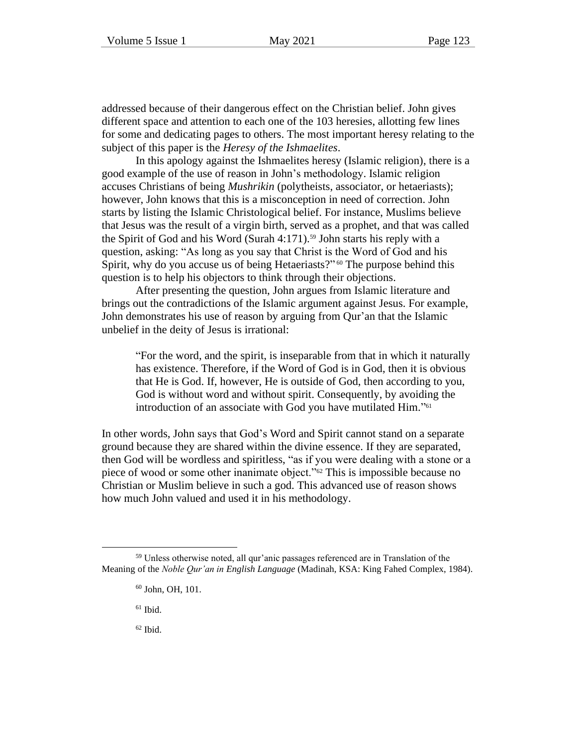addressed because of their dangerous effect on the Christian belief. John gives different space and attention to each one of the 103 heresies, allotting few lines for some and dedicating pages to others. The most important heresy relating to the subject of this paper is the *Heresy of the Ishmaelites*.

In this apology against the Ishmaelites heresy (Islamic religion), there is a good example of the use of reason in John's methodology. Islamic religion accuses Christians of being *Mushrikin* (polytheists, associator, or hetaeriasts); however, John knows that this is a misconception in need of correction. John starts by listing the Islamic Christological belief. For instance, Muslims believe that Jesus was the result of a virgin birth, served as a prophet, and that was called the Spirit of God and his Word (Surah 4:171).<sup>59</sup> John starts his reply with a question, asking: "As long as you say that Christ is the Word of God and his Spirit, why do you accuse us of being Hetaeriasts?"<sup>60</sup> The purpose behind this question is to help his objectors to think through their objections.

After presenting the question, John argues from Islamic literature and brings out the contradictions of the Islamic argument against Jesus. For example, John demonstrates his use of reason by arguing from Qur'an that the Islamic unbelief in the deity of Jesus is irrational:

"For the word, and the spirit, is inseparable from that in which it naturally has existence. Therefore, if the Word of God is in God, then it is obvious that He is God. If, however, He is outside of God, then according to you, God is without word and without spirit. Consequently, by avoiding the introduction of an associate with God you have mutilated Him." 61

In other words, John says that God's Word and Spirit cannot stand on a separate ground because they are shared within the divine essence. If they are separated, then God will be wordless and spiritless, "as if you were dealing with a stone or a piece of wood or some other inanimate object."<sup>62</sup> This is impossible because no Christian or Muslim believe in such a god. This advanced use of reason shows how much John valued and used it in his methodology.

 $61$  Ibid.

 $62$  Ibid.

<sup>59</sup> Unless otherwise noted, all qur'anic passages referenced are in Translation of the Meaning of the *Noble Qur'an in English Language* (Madinah, KSA: King Fahed Complex, 1984).

<sup>60</sup> John, OH, 101.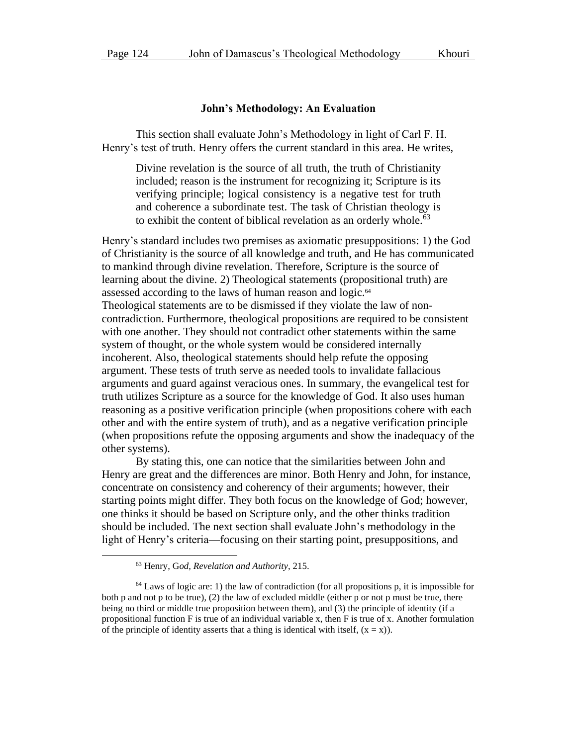#### **John's Methodology: An Evaluation**

This section shall evaluate John's Methodology in light of Carl F. H. Henry's test of truth. Henry offers the current standard in this area. He writes,

Divine revelation is the source of all truth, the truth of Christianity included; reason is the instrument for recognizing it; Scripture is its verifying principle; logical consistency is a negative test for truth and coherence a subordinate test. The task of Christian theology is to exhibit the content of biblical revelation as an orderly whole.<sup>63</sup>

Henry's standard includes two premises as axiomatic presuppositions: 1) the God of Christianity is the source of all knowledge and truth, and He has communicated to mankind through divine revelation. Therefore, Scripture is the source of learning about the divine. 2) Theological statements (propositional truth) are assessed according to the laws of human reason and logic.<sup>64</sup> Theological statements are to be dismissed if they violate the law of noncontradiction. Furthermore, theological propositions are required to be consistent with one another. They should not contradict other statements within the same system of thought, or the whole system would be considered internally incoherent. Also, theological statements should help refute the opposing argument. These tests of truth serve as needed tools to invalidate fallacious arguments and guard against veracious ones. In summary, the evangelical test for truth utilizes Scripture as a source for the knowledge of God. It also uses human reasoning as a positive verification principle (when propositions cohere with each other and with the entire system of truth), and as a negative verification principle (when propositions refute the opposing arguments and show the inadequacy of the other systems).

By stating this, one can notice that the similarities between John and Henry are great and the differences are minor. Both Henry and John, for instance, concentrate on consistency and coherency of their arguments; however, their starting points might differ. They both focus on the knowledge of God; however, one thinks it should be based on Scripture only, and the other thinks tradition should be included. The next section shall evaluate John's methodology in the light of Henry's criteria—focusing on their starting point, presuppositions, and

<sup>63</sup> Henry, G*od, Revelation and Authority*, 215.

<sup>64</sup> Laws of logic are: 1) the law of contradiction (for all propositions p, it is impossible for both p and not p to be true),  $(2)$  the law of excluded middle (either p or not p must be true, there being no third or middle true proposition between them), and (3) the principle of identity (if a propositional function F is true of an individual variable x, then F is true of x. Another formulation of the principle of identity asserts that a thing is identical with itself,  $(x = x)$ ).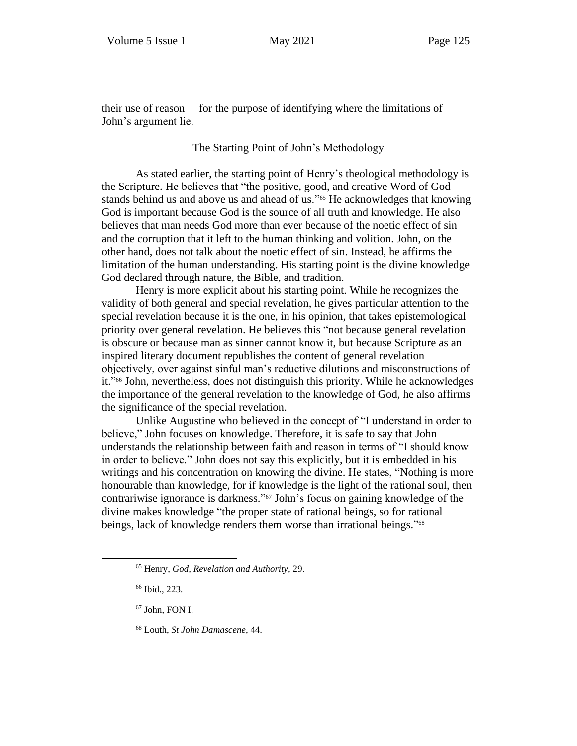their use of reason— for the purpose of identifying where the limitations of John's argument lie.

#### The Starting Point of John's Methodology

As stated earlier, the starting point of Henry's theological methodology is the Scripture. He believes that "the positive, good, and creative Word of God stands behind us and above us and ahead of us."<sup>65</sup> He acknowledges that knowing God is important because God is the source of all truth and knowledge. He also believes that man needs God more than ever because of the noetic effect of sin and the corruption that it left to the human thinking and volition. John, on the other hand, does not talk about the noetic effect of sin. Instead, he affirms the limitation of the human understanding. His starting point is the divine knowledge God declared through nature, the Bible, and tradition.

Henry is more explicit about his starting point. While he recognizes the validity of both general and special revelation, he gives particular attention to the special revelation because it is the one, in his opinion, that takes epistemological priority over general revelation. He believes this "not because general revelation is obscure or because man as sinner cannot know it, but because Scripture as an inspired literary document republishes the content of general revelation objectively, over against sinful man's reductive dilutions and misconstructions of it." <sup>66</sup> John, nevertheless, does not distinguish this priority. While he acknowledges the importance of the general revelation to the knowledge of God, he also affirms the significance of the special revelation.

Unlike Augustine who believed in the concept of "I understand in order to believe," John focuses on knowledge. Therefore, it is safe to say that John understands the relationship between faith and reason in terms of "I should know in order to believe." John does not say this explicitly, but it is embedded in his writings and his concentration on knowing the divine. He states, "Nothing is more honourable than knowledge, for if knowledge is the light of the rational soul, then contrariwise ignorance is darkness." <sup>67</sup> John's focus on gaining knowledge of the divine makes knowledge "the proper state of rational beings, so for rational beings, lack of knowledge renders them worse than irrational beings."<sup>68</sup>

- $67$  John, FON I.
- <sup>68</sup> Louth, *St John Damascene*, 44.

<sup>65</sup> Henry, *God, Revelation and Authority,* 29.

<sup>66</sup> Ibid., 223.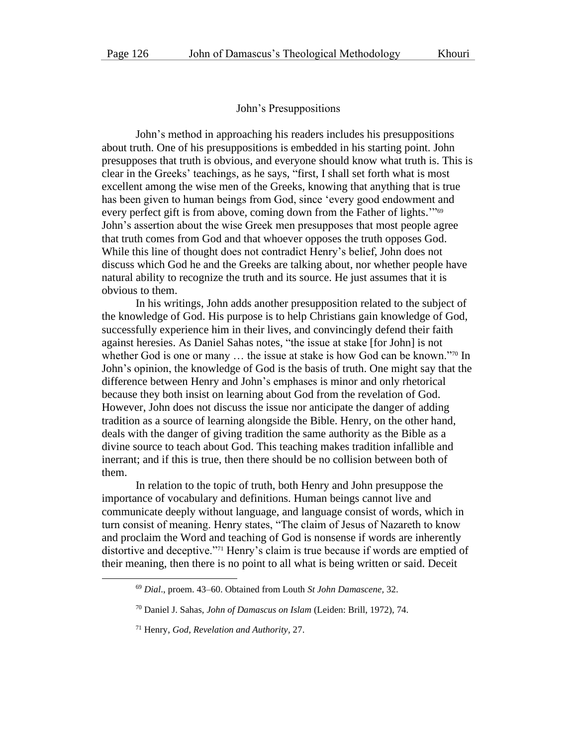#### John's Presuppositions

John's method in approaching his readers includes his presuppositions about truth. One of his presuppositions is embedded in his starting point. John presupposes that truth is obvious, and everyone should know what truth is. This is clear in the Greeks' teachings, as he says, "first, I shall set forth what is most excellent among the wise men of the Greeks, knowing that anything that is true has been given to human beings from God, since 'every good endowment and every perfect gift is from above, coming down from the Father of lights."<sup>69</sup> John's assertion about the wise Greek men presupposes that most people agree that truth comes from God and that whoever opposes the truth opposes God. While this line of thought does not contradict Henry's belief, John does not discuss which God he and the Greeks are talking about, nor whether people have natural ability to recognize the truth and its source. He just assumes that it is obvious to them.

In his writings, John adds another presupposition related to the subject of the knowledge of God. His purpose is to help Christians gain knowledge of God, successfully experience him in their lives, and convincingly defend their faith against heresies. As Daniel Sahas notes, "the issue at stake [for John] is not whether God is one or many ... the issue at stake is how God can be known."<sup>70</sup> In John's opinion, the knowledge of God is the basis of truth. One might say that the difference between Henry and John's emphases is minor and only rhetorical because they both insist on learning about God from the revelation of God. However, John does not discuss the issue nor anticipate the danger of adding tradition as a source of learning alongside the Bible. Henry, on the other hand, deals with the danger of giving tradition the same authority as the Bible as a divine source to teach about God. This teaching makes tradition infallible and inerrant; and if this is true, then there should be no collision between both of them.

In relation to the topic of truth, both Henry and John presuppose the importance of vocabulary and definitions. Human beings cannot live and communicate deeply without language, and language consist of words, which in turn consist of meaning. Henry states, "The claim of Jesus of Nazareth to know and proclaim the Word and teaching of God is nonsense if words are inherently distortive and deceptive."<sup>71</sup> Henry's claim is true because if words are emptied of their meaning, then there is no point to all what is being written or said. Deceit

<sup>69</sup> *Dial*., proem. 43–60. Obtained from Louth *St John Damascene,* 32.

<sup>70</sup> Daniel J. Sahas, *John of Damascus on Islam* (Leiden: Brill, 1972), 74.

<sup>71</sup> Henry, *God, Revelation and Authority,* 27.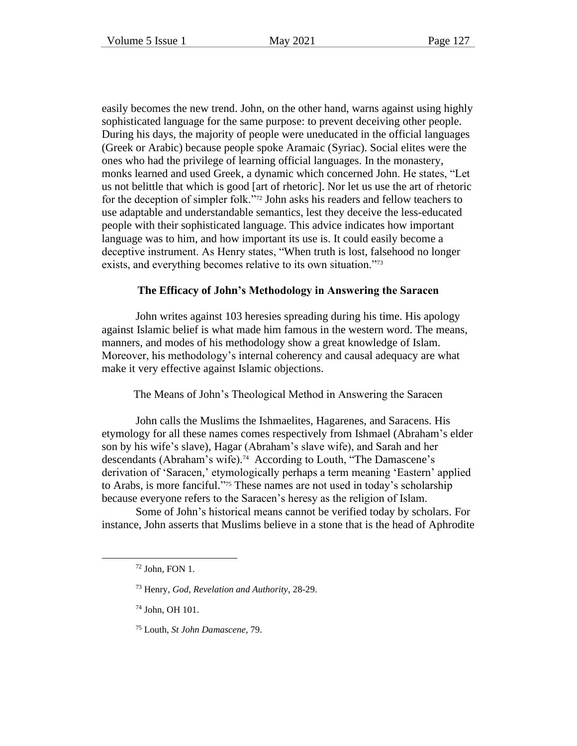easily becomes the new trend. John, on the other hand, warns against using highly sophisticated language for the same purpose: to prevent deceiving other people. During his days, the majority of people were uneducated in the official languages (Greek or Arabic) because people spoke Aramaic (Syriac). Social elites were the ones who had the privilege of learning official languages. In the monastery, monks learned and used Greek, a dynamic which concerned John. He states, "Let us not belittle that which is good [art of rhetoric]. Nor let us use the art of rhetoric for the deception of simpler folk."<sup>72</sup> John asks his readers and fellow teachers to use adaptable and understandable semantics, lest they deceive the less-educated people with their sophisticated language. This advice indicates how important language was to him, and how important its use is. It could easily become a deceptive instrument. As Henry states, "When truth is lost, falsehood no longer exists, and everything becomes relative to its own situation."73

# **The Efficacy of John's Methodology in Answering the Saracen**

John writes against 103 heresies spreading during his time. His apology against Islamic belief is what made him famous in the western word. The means, manners, and modes of his methodology show a great knowledge of Islam. Moreover, his methodology's internal coherency and causal adequacy are what make it very effective against Islamic objections.

The Means of John's Theological Method in Answering the Saracen

John calls the Muslims the Ishmaelites, Hagarenes, and Saracens. His etymology for all these names comes respectively from Ishmael (Abraham's elder son by his wife's slave), Hagar (Abraham's slave wife), and Sarah and her descendants (Abraham's wife). <sup>74</sup> According to Louth, "The Damascene's derivation of 'Saracen,' etymologically perhaps a term meaning 'Eastern' applied to Arabs, is more fanciful." <sup>75</sup> These names are not used in today's scholarship because everyone refers to the Saracen's heresy as the religion of Islam.

Some of John's historical means cannot be verified today by scholars. For instance, John asserts that Muslims believe in a stone that is the head of Aphrodite

- <sup>73</sup> Henry, *God, Revelation and Authority,* 28-29.
- $74$  John, OH 101.
- <sup>75</sup> Louth, *St John Damascene*, 79.

<sup>72</sup> John, FON 1.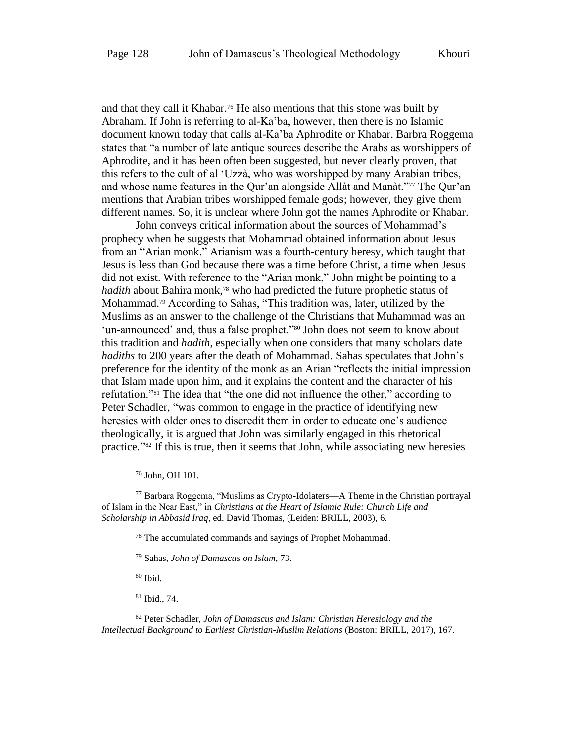and that they call it Khabar.<sup>76</sup> He also mentions that this stone was built by Abraham. If John is referring to al-Ka'ba, however, then there is no Islamic document known today that calls al-Ka'ba Aphrodite or Khabar. Barbra Roggema states that "a number of late antique sources describe the Arabs as worshippers of Aphrodite, and it has been often been suggested, but never clearly proven, that this refers to the cult of al 'Uzzà, who was worshipped by many Arabian tribes, and whose name features in the Qur'an alongside Allàt and Manàt."<sup>77</sup> The Qur'an mentions that Arabian tribes worshipped female gods; however, they give them different names. So, it is unclear where John got the names Aphrodite or Khabar.

John conveys critical information about the sources of Mohammad's prophecy when he suggests that Mohammad obtained information about Jesus from an "Arian monk." Arianism was a fourth-century heresy, which taught that Jesus is less than God because there was a time before Christ, a time when Jesus did not exist. With reference to the "Arian monk," John might be pointing to a *hadith* about Bahira monk,<sup>78</sup> who had predicted the future prophetic status of Mohammad.<sup>79</sup> According to Sahas, "This tradition was, later, utilized by the Muslims as an answer to the challenge of the Christians that Muhammad was an 'un-announced' and, thus a false prophet."<sup>80</sup> John does not seem to know about this tradition and *hadith*, especially when one considers that many scholars date *hadiths* to 200 years after the death of Mohammad. Sahas speculates that John's preference for the identity of the monk as an Arian "reflects the initial impression that Islam made upon him, and it explains the content and the character of his refutation."<sup>81</sup> The idea that "the one did not influence the other," according to Peter Schadler, "was common to engage in the practice of identifying new heresies with older ones to discredit them in order to educate one's audience theologically, it is argued that John was similarly engaged in this rhetorical practice."<sup>82</sup> If this is true, then it seems that John, while associating new heresies

<sup>76</sup> John, OH 101.

<sup>77</sup> Barbara Roggema, "Muslims as Crypto-Idolaters—A Theme in the Christian portrayal of Islam in the Near East," in *Christians at the Heart of Islamic Rule: Church Life and Scholarship in Abbasid Iraq*, ed. David Thomas, (Leiden: BRILL, 2003), 6.

<sup>78</sup> The accumulated commands and sayings of Prophet Mohammad.

<sup>79</sup> Sahas, *John of Damascus on Islam*, 73.

 $80$  Ibid.

<sup>81</sup> Ibid., 74.

<sup>82</sup> Peter Schadler, *John of Damascus and Islam: Christian Heresiology and the Intellectual Background to Earliest Christian-Muslim Relations* (Boston: BRILL, 2017), 167.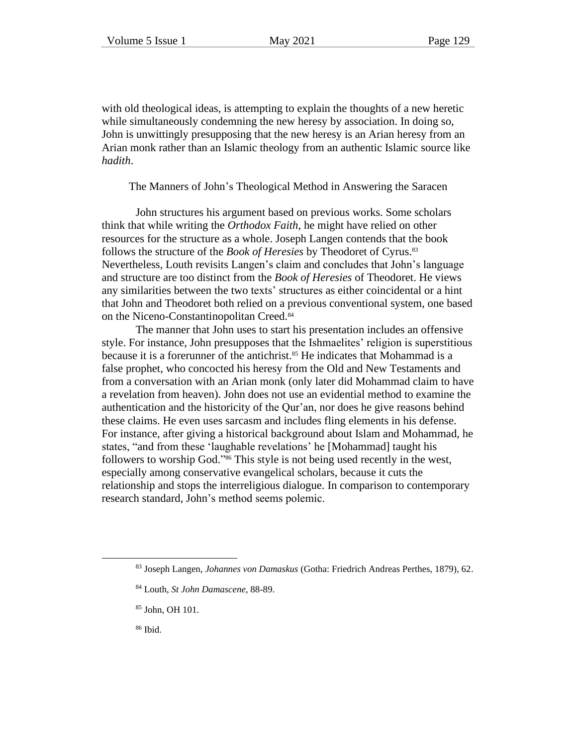with old theological ideas, is attempting to explain the thoughts of a new heretic while simultaneously condemning the new heresy by association. In doing so, John is unwittingly presupposing that the new heresy is an Arian heresy from an Arian monk rather than an Islamic theology from an authentic Islamic source like *hadith*.

The Manners of John's Theological Method in Answering the Saracen

John structures his argument based on previous works. Some scholars think that while writing the *Orthodox Faith*, he might have relied on other resources for the structure as a whole. Joseph Langen contends that the book follows the structure of the *Book of Heresies* by Theodoret of Cyrus.<sup>83</sup> Nevertheless, Louth revisits Langen's claim and concludes that John's language and structure are too distinct from the *Book of Heresies* of Theodoret. He views any similarities between the two texts' structures as either coincidental or a hint that John and Theodoret both relied on a previous conventional system, one based on the Niceno-Constantinopolitan Creed. 84

The manner that John uses to start his presentation includes an offensive style. For instance, John presupposes that the Ishmaelites' religion is superstitious because it is a forerunner of the antichrist.<sup>85</sup> He indicates that Mohammad is a false prophet, who concocted his heresy from the Old and New Testaments and from a conversation with an Arian monk (only later did Mohammad claim to have a revelation from heaven). John does not use an evidential method to examine the authentication and the historicity of the Qur'an, nor does he give reasons behind these claims. He even uses sarcasm and includes fling elements in his defense. For instance, after giving a historical background about Islam and Mohammad, he states, "and from these 'laughable revelations' he [Mohammad] taught his followers to worship God."<sup>86</sup> This style is not being used recently in the west, especially among conservative evangelical scholars, because it cuts the relationship and stops the interreligious dialogue. In comparison to contemporary research standard, John's method seems polemic.

- <sup>85</sup> John, OH 101.
- <sup>86</sup> Ibid.

<sup>83</sup> Joseph Langen, *Johannes von Damaskus* (Gotha: Friedrich Andreas Perthes, 1879), 62.

<sup>84</sup> Louth, *St John Damascene*, 88-89.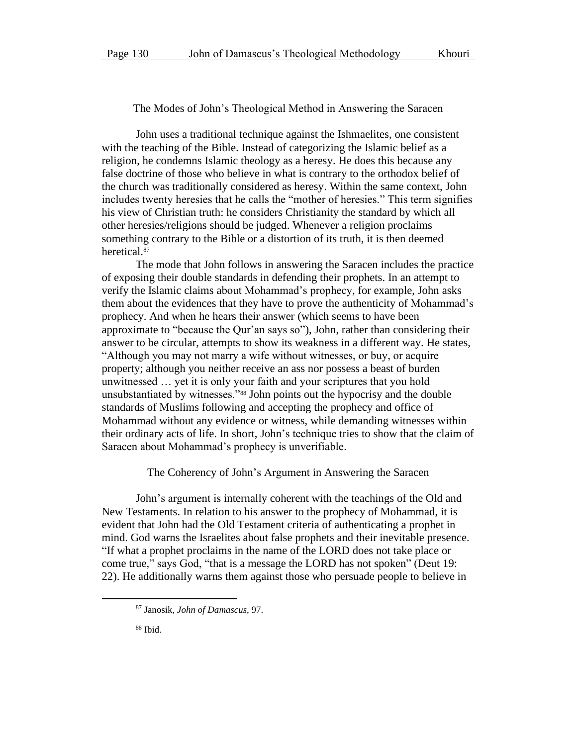The Modes of John's Theological Method in Answering the Saracen

John uses a traditional technique against the Ishmaelites, one consistent with the teaching of the Bible. Instead of categorizing the Islamic belief as a religion, he condemns Islamic theology as a heresy. He does this because any false doctrine of those who believe in what is contrary to the orthodox belief of the church was traditionally considered as heresy. Within the same context, John includes twenty heresies that he calls the "mother of heresies." This term signifies his view of Christian truth: he considers Christianity the standard by which all other heresies/religions should be judged. Whenever a religion proclaims something contrary to the Bible or a distortion of its truth, it is then deemed heretical.<sup>87</sup>

The mode that John follows in answering the Saracen includes the practice of exposing their double standards in defending their prophets. In an attempt to verify the Islamic claims about Mohammad's prophecy, for example, John asks them about the evidences that they have to prove the authenticity of Mohammad's prophecy. And when he hears their answer (which seems to have been approximate to "because the Qur'an says so"), John, rather than considering their answer to be circular, attempts to show its weakness in a different way. He states, "Although you may not marry a wife without witnesses, or buy, or acquire property; although you neither receive an ass nor possess a beast of burden unwitnessed … yet it is only your faith and your scriptures that you hold unsubstantiated by witnesses."<sup>88</sup> John points out the hypocrisy and the double standards of Muslims following and accepting the prophecy and office of Mohammad without any evidence or witness, while demanding witnesses within their ordinary acts of life. In short, John's technique tries to show that the claim of Saracen about Mohammad's prophecy is unverifiable.

The Coherency of John's Argument in Answering the Saracen

John's argument is internally coherent with the teachings of the Old and New Testaments. In relation to his answer to the prophecy of Mohammad, it is evident that John had the Old Testament criteria of authenticating a prophet in mind. God warns the Israelites about false prophets and their inevitable presence. "If what a prophet proclaims in the name of the LORD does not take place or come true," says God, "that is a message the LORD has not spoken" (Deut 19: 22). He additionally warns them against those who persuade people to believe in

<sup>87</sup> Janosik, *John of Damascus*, 97.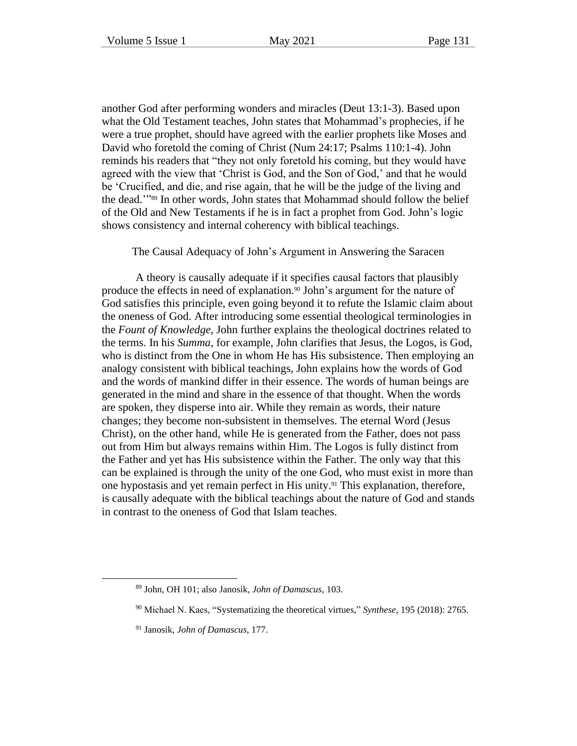another God after performing wonders and miracles (Deut 13:1-3). Based upon what the Old Testament teaches, John states that Mohammad's prophecies, if he were a true prophet, should have agreed with the earlier prophets like Moses and David who foretold the coming of Christ (Num 24:17; Psalms 110:1-4). John reminds his readers that "they not only foretold his coming, but they would have agreed with the view that 'Christ is God, and the Son of God,' and that he would be 'Crucified, and die, and rise again, that he will be the judge of the living and the dead.'" <sup>89</sup> In other words, John states that Mohammad should follow the belief of the Old and New Testaments if he is in fact a prophet from God. John's logic shows consistency and internal coherency with biblical teachings.

The Causal Adequacy of John's Argument in Answering the Saracen

A theory is causally adequate if it specifies causal factors that plausibly produce the effects in need of explanation.<sup>90</sup> John's argument for the nature of God satisfies this principle, even going beyond it to refute the Islamic claim about the oneness of God. After introducing some essential theological terminologies in the *Fount of Knowledge*, John further explains the theological doctrines related to the terms. In his *Summa*, for example, John clarifies that Jesus, the Logos, is God, who is distinct from the One in whom He has His subsistence. Then employing an analogy consistent with biblical teachings, John explains how the words of God and the words of mankind differ in their essence. The words of human beings are generated in the mind and share in the essence of that thought. When the words are spoken, they disperse into air. While they remain as words, their nature changes; they become non-subsistent in themselves. The eternal Word (Jesus Christ), on the other hand, while He is generated from the Father, does not pass out from Him but always remains within Him. The Logos is fully distinct from the Father and yet has His subsistence within the Father. The only way that this can be explained is through the unity of the one God, who must exist in more than one hypostasis and yet remain perfect in His unity.<sup>91</sup> This explanation, therefore, is causally adequate with the biblical teachings about the nature of God and stands in contrast to the oneness of God that Islam teaches.

<sup>89</sup> John, OH 101; also Janosik, *John of Damascus*, 103.

<sup>90</sup> Michael N. Kaes, "Systematizing the theoretical virtues," *Synthese,* 195 (2018): 2765.

<sup>91</sup> Janosik, *John of Damascus*, 177.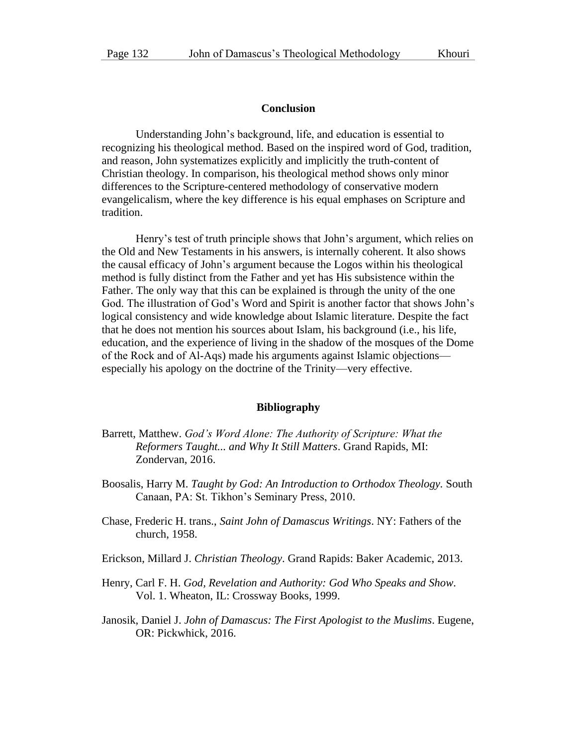#### **Conclusion**

Understanding John's background, life, and education is essential to recognizing his theological method. Based on the inspired word of God, tradition, and reason, John systematizes explicitly and implicitly the truth-content of Christian theology. In comparison, his theological method shows only minor differences to the Scripture-centered methodology of conservative modern evangelicalism, where the key difference is his equal emphases on Scripture and tradition.

Henry's test of truth principle shows that John's argument, which relies on the Old and New Testaments in his answers, is internally coherent. It also shows the causal efficacy of John's argument because the Logos within his theological method is fully distinct from the Father and yet has His subsistence within the Father. The only way that this can be explained is through the unity of the one God. The illustration of God's Word and Spirit is another factor that shows John's logical consistency and wide knowledge about Islamic literature. Despite the fact that he does not mention his sources about Islam, his background (i.e., his life, education, and the experience of living in the shadow of the mosques of the Dome of the Rock and of Al‐Aqs) made his arguments against Islamic objections especially his apology on the doctrine of the Trinity—very effective.

#### **Bibliography**

- Barrett, Matthew. *God's Word Alone: The Authority of Scripture: What the Reformers Taught... and Why It Still Matters*. Grand Rapids, MI: Zondervan, 2016.
- Boosalis, Harry M. *Taught by God: An Introduction to Orthodox Theology.* South Canaan, PA: St. Tikhon's Seminary Press, 2010.
- Chase, Frederic H. trans., *Saint John of Damascus Writings*. NY: Fathers of the church, 1958.
- Erickson, Millard J. *Christian Theology*. Grand Rapids: Baker Academic, 2013.
- Henry, Carl F. H. *God, Revelation and Authority: God Who Speaks and Show.* Vol. 1. Wheaton, IL: Crossway Books, 1999.
- Janosik, Daniel J. *John of Damascus: The First Apologist to the Muslims*. Eugene, OR: Pickwhick, 2016.